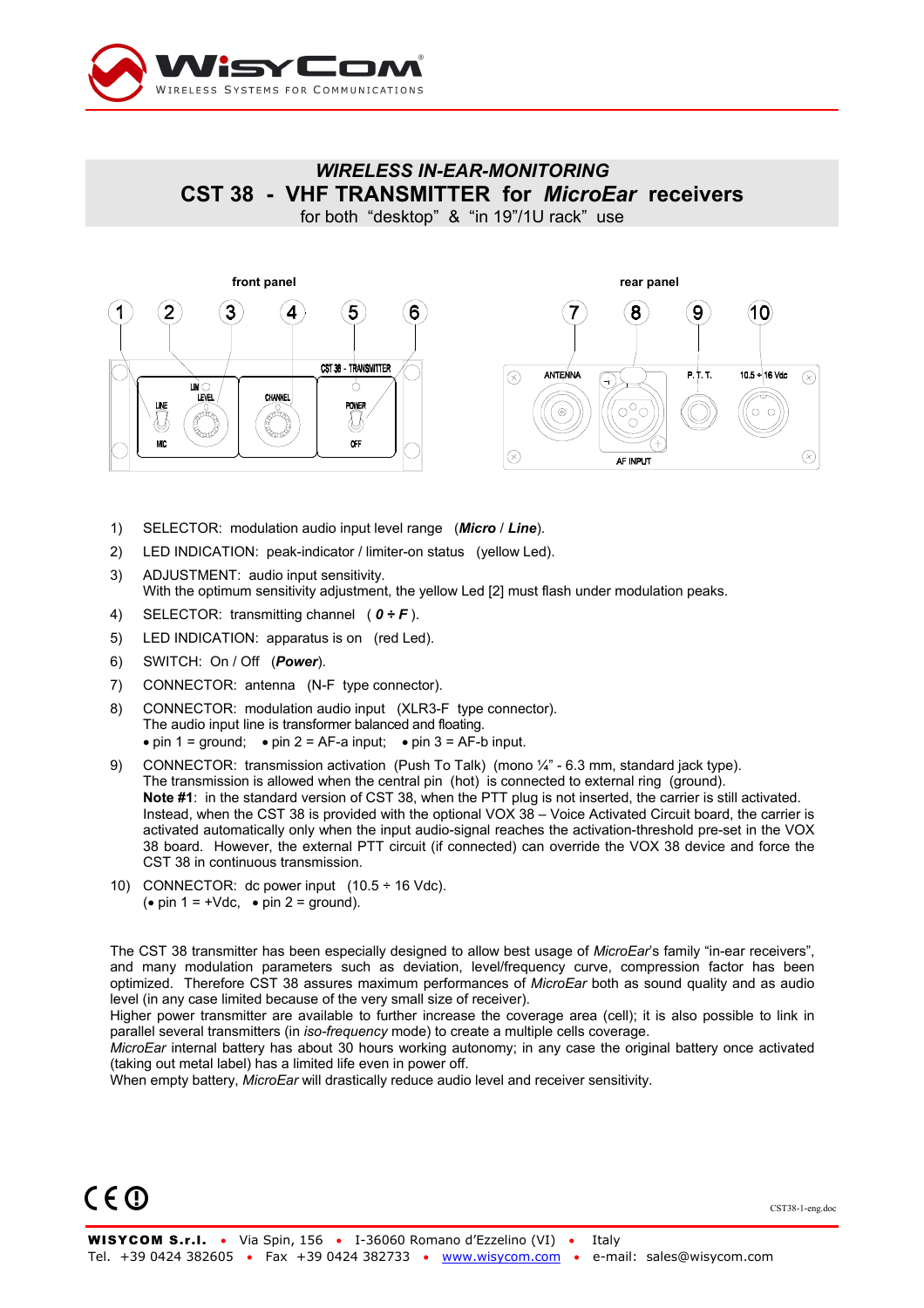

## *WIRELESS IN-EAR-MONITORING*  **CST 38 - VHF TRANSMITTER for** *MicroEar* **receivers**

for both "desktop" & "in 19"/1U rack" use



- 1) SELECTOR: modulation audio input level range (*Micro* / *Line*).
- 2) LED INDICATION: peak-indicator / limiter-on status (yellow Led).
- 3) ADJUSTMENT: audio input sensitivity. With the optimum sensitivity adjustment, the yellow Led [2] must flash under modulation peaks.
- 4) SELECTOR: transmitting channel ( *0 ÷ F* ).
- 5) LED INDICATION: apparatus is on (red Led).
- 6) SWITCH: On / Off (*Power*).
- 7) CONNECTOR: antenna (N-F type connector).
- 8) CONNECTOR: modulation audio input (XLR3-F type connector). The audio input line is transformer balanced and floating. • pin  $1 =$  ground; • pin  $2 = AF-a$  input; • pin  $3 = AF-b$  input.
- 9) CONNECTOR: transmission activation (Push To Talk) (mono ¼" 6.3 mm, standard jack type). The transmission is allowed when the central pin (hot) is connected to external ring (ground). **Note #1**: in the standard version of CST 38, when the PTT plug is not inserted, the carrier is still activated. Instead, when the CST 38 is provided with the optional VOX 38 – Voice Activated Circuit board, the carrier is activated automatically only when the input audio-signal reaches the activation-threshold pre-set in the VOX 38 board. However, the external PTT circuit (if connected) can override the VOX 38 device and force the CST 38 in continuous transmission.
- 10) CONNECTOR: dc power input  $(10.5 \div 16 \text{ Vdc})$ . (• pin  $1 = +Vdc$ , • pin  $2 =$  ground).

The CST 38 transmitter has been especially designed to allow best usage of *MicroEar*'s family "in-ear receivers", and many modulation parameters such as deviation, level/frequency curve, compression factor has been optimized. Therefore CST 38 assures maximum performances of *MicroEar* both as sound quality and as audio level (in any case limited because of the very small size of receiver).

Higher power transmitter are available to further increase the coverage area (cell); it is also possible to link in parallel several transmitters (in *iso-frequency* mode) to create a multiple cells coverage.

*MicroEar* internal battery has about 30 hours working autonomy; in any case the original battery once activated (taking out metal label) has a limited life even in power off.

When empty battery, *MicroEar* will drastically reduce audio level and receiver sensitivity.



CST38-1-eng.doc